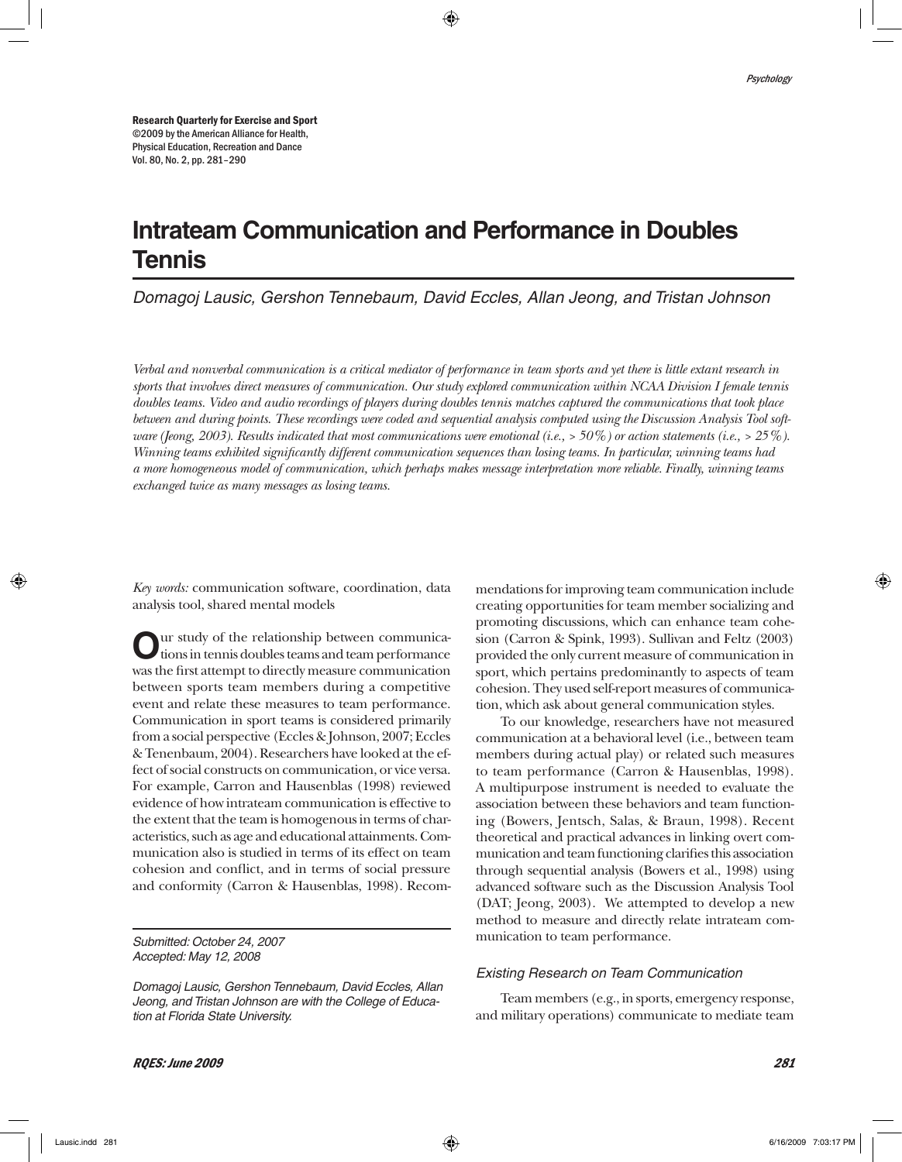Research Quarterly for Exercise and Sport ©2009 by the American Alliance for Health, Physical Education, Recreation and Dance Vol. 80, No. 2, pp. 281–290

# **Intrateam Communication and Performance in Doubles Tennis**

*Domagoj Lausic, Gershon Tennebaum, David Eccles, Allan Jeong, and Tristan Johnson*

⊕

*Verbal and nonverbal communication is a critical mediator of performance in team sports and yet there is little extant research in sports that involves direct measures of communication. Our study explored communication within NCAA Division I female tennis doubles teams. Video and audio recordings of players during doubles tennis matches captured the communications that took place between and during points. These recordings were coded and sequential analysis computed using the Discussion Analysis Tool software (Jeong, 2003). Results indicated that most communications were emotional (i.e., > 50%) or action statements (i.e., > 25%). Winning teams exhibited significantly different communication sequences than losing teams. In particular, winning teams had a more homogeneous model of communication, which perhaps makes message interpretation more reliable. Finally, winning teams exchanged twice as many messages as losing teams.* 

*Key words:* communication software, coordination, data analysis tool, shared mental models

**O**ur study of the relationship between communica-tions in tennis doubles teams and team performance was the first attempt to directly measure communication between sports team members during a competitive event and relate these measures to team performance. Communication in sport teams is considered primarily from a social perspective (Eccles & Johnson, 2007; Eccles & Tenenbaum, 2004). Researchers have looked at the effect of social constructs on communication, or vice versa. For example, Carron and Hausenblas (1998) reviewed evidence of how intrateam communication is effective to the extent that the team is homogenous in terms of characteristics, such as age and educational attainments. Communication also is studied in terms of its effect on team cohesion and conflict, and in terms of social pressure and conformity (Carron & Hausenblas, 1998). Recom-

*Submitted: October 24, 2007 Accepted: May 12, 2008*

*Domagoj Lausic, Gershon Tennebaum, David Eccles, Allan Jeong, and Tristan Johnson are with the College of Education at Florida State University.* 

RQES: June 2009 281

mendations for improving team communication include creating opportunities for team member socializing and promoting discussions, which can enhance team cohesion (Carron & Spink, 1993). Sullivan and Feltz (2003) provided the only current measure of communication in sport, which pertains predominantly to aspects of team cohesion. They used self-report measures of communication, which ask about general communication styles.

To our knowledge, researchers have not measured communication at a behavioral level (i.e., between team members during actual play) or related such measures to team performance (Carron & Hausenblas, 1998). A multipurpose instrument is needed to evaluate the association between these behaviors and team functioning (Bowers, Jentsch, Salas, & Braun, 1998). Recent theoretical and practical advances in linking overt communication and team functioning clarifies this association through sequential analysis (Bowers et al., 1998) using advanced software such as the Discussion Analysis Tool (DAT; Jeong, 2003). We attempted to develop a new method to measure and directly relate intrateam communication to team performance.

#### *Existing Research on Team Communication*

Team members (e.g., in sports, emergency response, and military operations) communicate to mediate team

⊕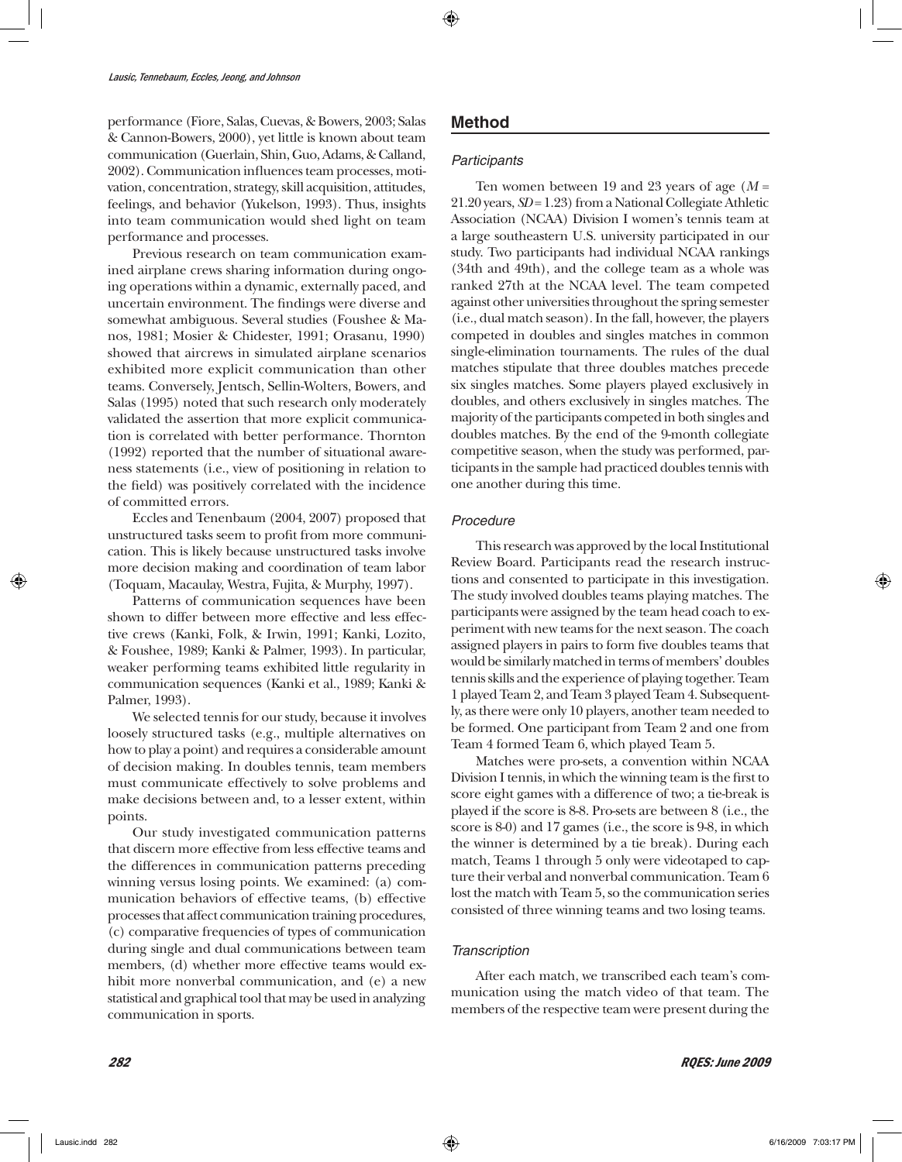performance (Fiore, Salas, Cuevas, & Bowers, 2003; Salas & Cannon-Bowers, 2000), yet little is known about team communication (Guerlain, Shin, Guo, Adams, & Calland, 2002). Communication influences team processes, motivation, concentration, strategy, skill acquisition, attitudes, feelings, and behavior (Yukelson, 1993). Thus, insights into team communication would shed light on team performance and processes.

Previous research on team communication examined airplane crews sharing information during ongoing operations within a dynamic, externally paced, and uncertain environment. The findings were diverse and somewhat ambiguous. Several studies (Foushee & Manos, 1981; Mosier & Chidester, 1991; Orasanu, 1990) showed that aircrews in simulated airplane scenarios exhibited more explicit communication than other teams. Conversely, Jentsch, Sellin-Wolters, Bowers, and Salas (1995) noted that such research only moderately validated the assertion that more explicit communication is correlated with better performance. Thornton (1992) reported that the number of situational awareness statements (i.e., view of positioning in relation to the field) was positively correlated with the incidence of committed errors.

Eccles and Tenenbaum (2004, 2007) proposed that unstructured tasks seem to profit from more communication. This is likely because unstructured tasks involve more decision making and coordination of team labor (Toquam, Macaulay, Westra, Fujita, & Murphy, 1997).

Patterns of communication sequences have been shown to differ between more effective and less effective crews (Kanki, Folk, & Irwin, 1991; Kanki, Lozito, & Foushee, 1989; Kanki & Palmer, 1993). In particular, weaker performing teams exhibited little regularity in communication sequences (Kanki et al., 1989; Kanki & Palmer, 1993).

We selected tennis for our study, because it involves loosely structured tasks (e.g., multiple alternatives on how to play a point) and requires a considerable amount of decision making. In doubles tennis, team members must communicate effectively to solve problems and make decisions between and, to a lesser extent, within points.

Our study investigated communication patterns that discern more effective from less effective teams and the differences in communication patterns preceding winning versus losing points. We examined: (a) communication behaviors of effective teams, (b) effective processes that affect communication training procedures, (c) comparative frequencies of types of communication during single and dual communications between team members, (d) whether more effective teams would exhibit more nonverbal communication, and (e) a new statistical and graphical tool that may be used in analyzing communication in sports.

⊕

# *Participants*

Ten women between 19 and 23 years of age (*M* = 21.20 years, *SD* = 1.23) from a National Collegiate Athletic Association (NCAA) Division I women's tennis team at a large southeastern U.S. university participated in our study. Two participants had individual NCAA rankings (34th and 49th), and the college team as a whole was ranked 27th at the NCAA level. The team competed against other universities throughout the spring semester (i.e., dual match season). In the fall, however, the players competed in doubles and singles matches in common single-elimination tournaments. The rules of the dual matches stipulate that three doubles matches precede six singles matches. Some players played exclusively in doubles, and others exclusively in singles matches. The majority of the participants competed in both singles and doubles matches. By the end of the 9-month collegiate competitive season, when the study was performed, participants in the sample had practiced doubles tennis with one another during this time.

#### *Procedure*

This research was approved by the local Institutional Review Board. Participants read the research instructions and consented to participate in this investigation. The study involved doubles teams playing matches. The participants were assigned by the team head coach to experiment with new teams for the next season. The coach assigned players in pairs to form five doubles teams that would be similarly matched in terms of members' doubles tennis skills and the experience of playing together. Team 1 played Team 2, and Team 3 played Team 4. Subsequently, as there were only 10 players, another team needed to be formed. One participant from Team 2 and one from Team 4 formed Team 6, which played Team 5.

Matches were pro-sets, a convention within NCAA Division I tennis, in which the winning team is the first to score eight games with a difference of two; a tie-break is played if the score is 8-8. Pro-sets are between 8 (i.e., the score is 8-0) and 17 games (i.e., the score is 9-8, in which the winner is determined by a tie break). During each match, Teams 1 through 5 only were videotaped to capture their verbal and nonverbal communication. Team 6 lost the match with Team 5, so the communication series consisted of three winning teams and two losing teams.

## *Transcription*

After each match, we transcribed each team's communication using the match video of that team. The members of the respective team were present during the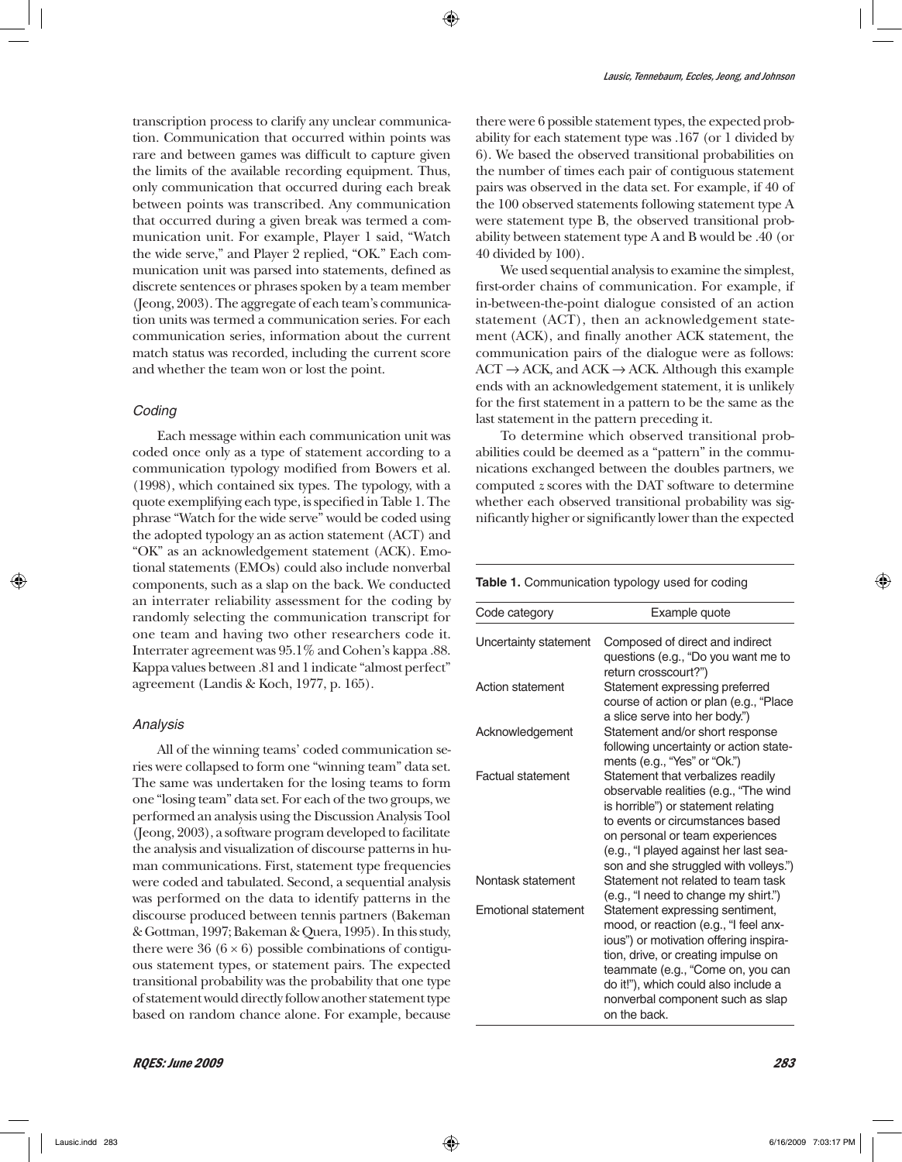transcription process to clarify any unclear communication. Communication that occurred within points was rare and between games was difficult to capture given the limits of the available recording equipment. Thus, only communication that occurred during each break between points was transcribed. Any communication that occurred during a given break was termed a communication unit. For example, Player 1 said, "Watch the wide serve," and Player 2 replied, "OK." Each communication unit was parsed into statements, defined as discrete sentences or phrases spoken by a team member (Jeong, 2003). The aggregate of each team's communication units was termed a communication series. For each communication series, information about the current match status was recorded, including the current score and whether the team won or lost the point.

## *Coding*

Each message within each communication unit was coded once only as a type of statement according to a communication typology modified from Bowers et al. (1998), which contained six types. The typology, with a quote exemplifying each type, is specified in Table 1. The phrase "Watch for the wide serve" would be coded using the adopted typology an as action statement (ACT) and "OK" as an acknowledgement statement (ACK). Emotional statements (EMOs) could also include nonverbal components, such as a slap on the back. We conducted an interrater reliability assessment for the coding by randomly selecting the communication transcript for one team and having two other researchers code it. Interrater agreement was 95.1% and Cohen's kappa .88. Kappa values between .81 and 1 indicate "almost perfect" agreement (Landis & Koch, 1977, p. 165).

#### *Analysis*

All of the winning teams' coded communication series were collapsed to form one "winning team" data set. The same was undertaken for the losing teams to form one "losing team" data set. For each of the two groups, we performed an analysis using the Discussion Analysis Tool (Jeong, 2003), a software program developed to facilitate the analysis and visualization of discourse patterns in human communications. First, statement type frequencies were coded and tabulated. Second, a sequential analysis was performed on the data to identify patterns in the discourse produced between tennis partners (Bakeman & Gottman, 1997; Bakeman & Quera, 1995). In this study, there were 36  $(6 \times 6)$  possible combinations of contiguous statement types, or statement pairs. The expected transitional probability was the probability that one type of statement would directly follow another statement type based on random chance alone. For example, because

there were 6 possible statement types, the expected probability for each statement type was .167 (or 1 divided by 6). We based the observed transitional probabilities on the number of times each pair of contiguous statement pairs was observed in the data set. For example, if 40 of the 100 observed statements following statement type A were statement type B, the observed transitional probability between statement type A and B would be .40 (or 40 divided by 100).

We used sequential analysis to examine the simplest, first-order chains of communication. For example, if in-between-the-point dialogue consisted of an action statement (ACT), then an acknowledgement statement (ACK), and finally another ACK statement, the communication pairs of the dialogue were as follows:  $ACT \rightarrow ACK$ , and  $ACK \rightarrow ACK$ . Although this example ends with an acknowledgement statement, it is unlikely for the first statement in a pattern to be the same as the last statement in the pattern preceding it.

To determine which observed transitional probabilities could be deemed as a "pattern" in the communications exchanged between the doubles partners, we computed *z* scores with the DAT software to determine whether each observed transitional probability was significantly higher or significantly lower than the expected

**Table 1.** Communication typology used for coding

| Code category              | Example quote                                                                                                                                                                                                                                                                              |  |  |  |  |
|----------------------------|--------------------------------------------------------------------------------------------------------------------------------------------------------------------------------------------------------------------------------------------------------------------------------------------|--|--|--|--|
| Uncertainty statement      | Composed of direct and indirect<br>questions (e.g., "Do you want me to                                                                                                                                                                                                                     |  |  |  |  |
| Action statement           | return crosscourt?")<br>Statement expressing preferred<br>course of action or plan (e.g., "Place<br>a slice serve into her body.")                                                                                                                                                         |  |  |  |  |
| Acknowledgement            | Statement and/or short response<br>following uncertainty or action state-<br>ments (e.g., "Yes" or "Ok.")                                                                                                                                                                                  |  |  |  |  |
| <b>Factual statement</b>   | Statement that verbalizes readily<br>observable realities (e.g., "The wind<br>is horrible") or statement relating<br>to events or circumstances based<br>on personal or team experiences<br>(e.g., "I played against her last sea-<br>son and she struggled with volleys.")                |  |  |  |  |
| Nontask statement          | Statement not related to team task<br>(e.g., "I need to change my shirt.")                                                                                                                                                                                                                 |  |  |  |  |
| <b>Emotional statement</b> | Statement expressing sentiment,<br>mood, or reaction (e.g., "I feel anx-<br>ious") or motivation offering inspira-<br>tion, drive, or creating impulse on<br>teammate (e.g., "Come on, you can<br>do it!"), which could also include a<br>nonverbal component such as slap<br>on the back. |  |  |  |  |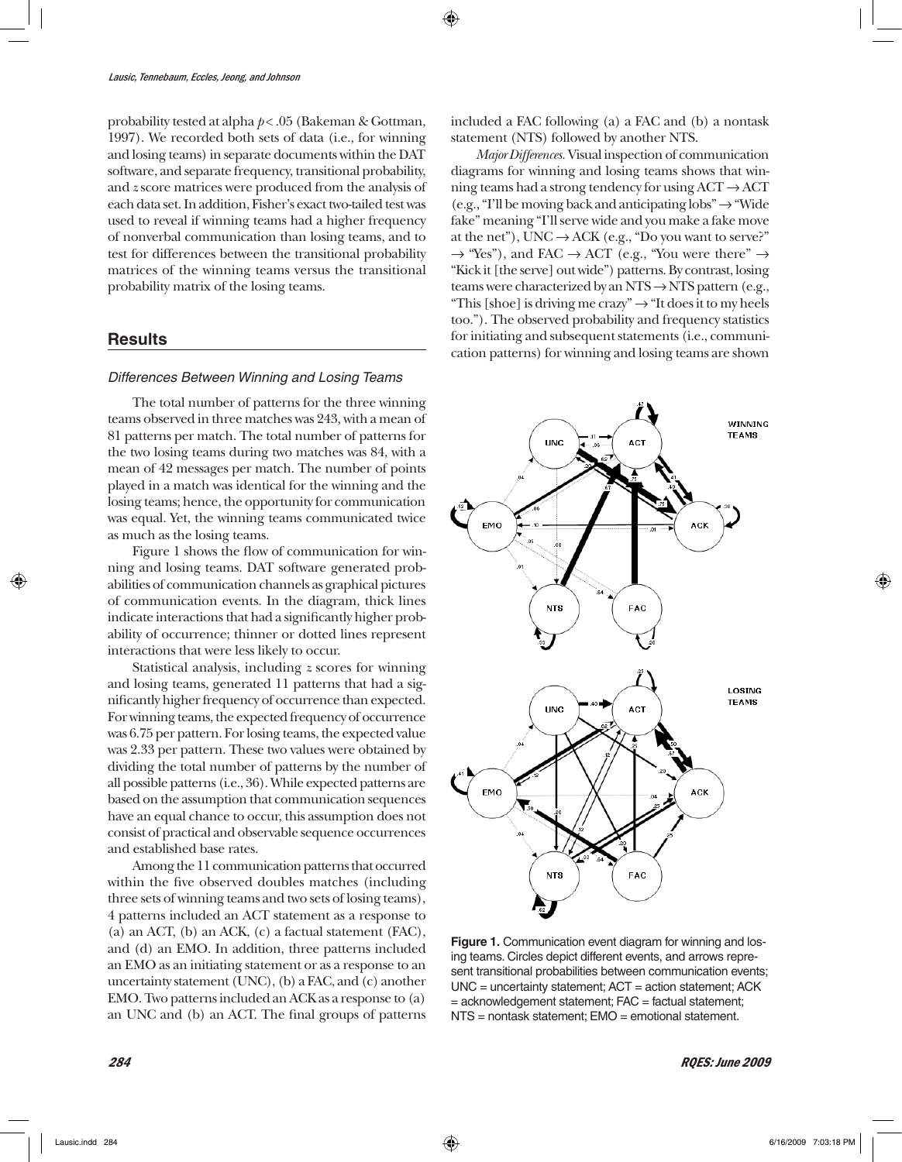probability tested at alpha *p* < .05 (Bakeman & Gottman, 1997). We recorded both sets of data (i.e., for winning and losing teams) in separate documents within the DAT software, and separate frequency, transitional probability, and *z* score matrices were produced from the analysis of each data set. In addition, Fisher's exact two-tailed test was used to reveal if winning teams had a higher frequency of nonverbal communication than losing teams, and to test for differences between the transitional probability matrices of the winning teams versus the transitional probability matrix of the losing teams.

## **Results**

⇔

#### *Differences Between Winning and Losing Teams*

The total number of patterns for the three winning teams observed in three matches was 243, with a mean of 81 patterns per match. The total number of patterns for the two losing teams during two matches was 84, with a mean of 42 messages per match. The number of points played in a match was identical for the winning and the losing teams; hence, the opportunity for communication was equal. Yet, the winning teams communicated twice as much as the losing teams.

Figure 1 shows the flow of communication for winning and losing teams. DAT software generated probabilities of communication channels as graphical pictures of communication events. In the diagram, thick lines indicate interactions that had a significantly higher probability of occurrence; thinner or dotted lines represent interactions that were less likely to occur.

Statistical analysis, including *z* scores for winning and losing teams, generated 11 patterns that had a significantly higher frequency of occurrence than expected. For winning teams, the expected frequency of occurrence was 6.75 per pattern. For losing teams, the expected value was 2.33 per pattern. These two values were obtained by dividing the total number of patterns by the number of all possible patterns (i.e., 36). While expected patterns are based on the assumption that communication sequences have an equal chance to occur, this assumption does not consist of practical and observable sequence occurrences and established base rates.

Among the 11 communication patterns that occurred within the five observed doubles matches (including three sets of winning teams and two sets of losing teams), 4 patterns included an ACT statement as a response to (a) an ACT, (b) an ACK, (c) a factual statement (FAC), and (d) an EMO. In addition, three patterns included an EMO as an initiating statement or as a response to an uncertainty statement (UNC), (b) a FAC, and (c) another EMO. Two patterns included an ACK as a response to (a) an UNC and (b) an ACT. The final groups of patterns included a FAC following (a) a FAC and (b) a nontask statement (NTS) followed by another NTS.

⊕

*Major Differences.* Visual inspection of communication diagrams for winning and losing teams shows that winning teams had a strong tendency for using ACT → ACT (e.g., "I'll be moving back and anticipating  $\text{lobs} \rightarrow \text{``Wide}$ fake" meaning "I'll serve wide and you make a fake move at the net"), UNC  $\rightarrow$  ACK (e.g., "Do you want to serve?"  $\rightarrow$  "Yes"), and FAC  $\rightarrow$  ACT (e.g., "You were there"  $\rightarrow$ "Kick it [the serve] out wide") patterns. By contrast, losing teams were characterized by an NTS  $\rightarrow$  NTS pattern (e.g., "This [shoe] is driving me crazy"  $\rightarrow$  "It does it to my heels too."). The observed probability and frequency statistics for initiating and subsequent statements (i.e., communication patterns) for winning and losing teams are shown



Figure 1. Communication event diagram for winning and losing teams. Circles depict different events, and arrows represent transitional probabilities between communication events;  $UNC =$  uncertainty statement; ACT = action statement; ACK ERO = anothality statement; NS T = action statement; N<br>= acknowledgement statement; FAC = factual statement; NTS = nontask statement; EMO = emotional statement.

284 RQES: June 2009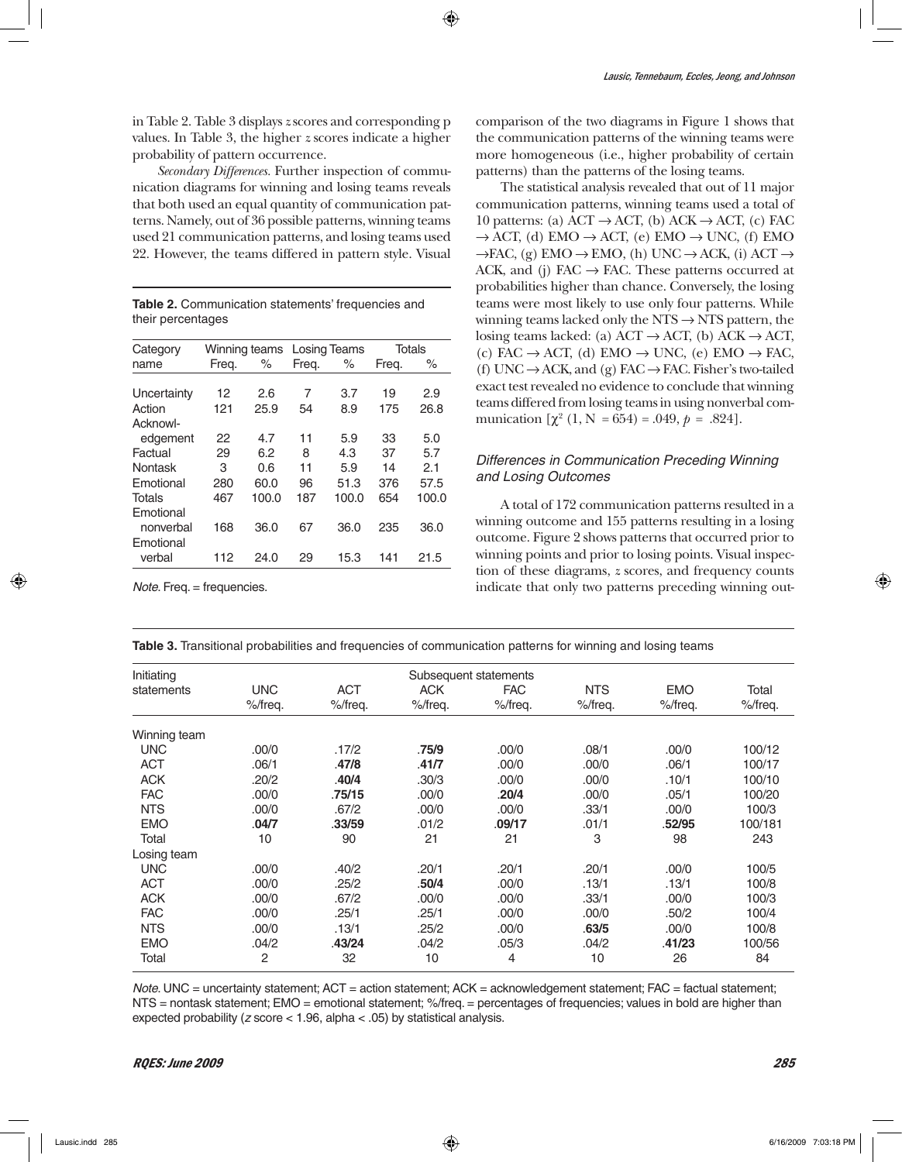in Table 2. Table 3 displays *z* scores and corresponding p values. In Table 3, the higher *z* scores indicate a higher probability of pattern occurrence.

*Secondary Differences.* Further inspection of communication diagrams for winning and losing teams reveals that both used an equal quantity of communication patterns. Namely, out of 36 possible patterns, winning teams used 21 communication patterns, and losing teams used 22. However, the teams differed in pattern style. Visual

**Table 2.** Communication statements' frequencies and their percentages

| Category    |       | Winning teams |       | Losing Teams |       | Totals |
|-------------|-------|---------------|-------|--------------|-------|--------|
| name        | Freq. | ℅             | Freq. | $\%$         | Freq. | ℅      |
|             |       |               |       |              |       |        |
| Uncertainty | 12    | 2.6           | 7     | 3.7          | 19    | 2.9    |
| Action      | 121   | 25.9          | 54    | 8.9          | 175   | 26.8   |
| Acknowl-    |       |               |       |              |       |        |
| edgement    | 22    | 4.7           | 11    | 5.9          | 33    | 5.0    |
| Factual     | 29    | 6.2           | 8     | 4.3          | 37    | 5.7    |
| Nontask     | 3     | 0.6           | 11    | 5.9          | 14    | 2.1    |
| Emotional   | 280   | 60.0          | 96    | 51.3         | 376   | 57.5   |
| Totals      | 467   | 100.0         | 187   | 100.0        | 654   | 100.0  |
| Emotional   |       |               |       |              |       |        |
| nonverbal   | 168   | 36.0          | 67    | 36.0         | 235   | 36.0   |
| Emotional   |       |               |       |              |       |        |
| verbal      | 112   | 24.0          | 29    | 15.3         | 141   | 21.5   |

*Note*. Freq. = frequencies.

comparison of the two diagrams in Figure 1 shows that the communication patterns of the winning teams were more homogeneous (i.e., higher probability of certain patterns) than the patterns of the losing teams.

The statistical analysis revealed that out of 11 major communication patterns, winning teams used a total of 10 patterns: (a)  $ACT \rightarrow ACT$ , (b)  $ACK \rightarrow ACT$ , (c) FAC  $\rightarrow$  ACT, (d) EMO  $\rightarrow$  ACT, (e) EMO  $\rightarrow$  UNC, (f) EMO  $\rightarrow$ FAC, (g) EMO  $\rightarrow$  EMO, (h) UNC  $\rightarrow$  ACK, (i) ACT  $\rightarrow$ ACK, and (j) FAC  $\rightarrow$  FAC. These patterns occurred at probabilities higher than chance. Conversely, the losing teams were most likely to use only four patterns. While winning teams lacked only the NTS  $\rightarrow$  NTS pattern, the losing teams lacked: (a)  $ACT \rightarrow ACT$ , (b)  $ACK \rightarrow ACT$ , (c) FAC  $\rightarrow$  ACT, (d) EMO  $\rightarrow$  UNC, (e) EMO  $\rightarrow$  FAC, (f) UNC  $\rightarrow$  ACK, and (g) FAC  $\rightarrow$  FAC. Fisher's two-tailed exact test revealed no evidence to conclude that winning teams differed from losing teams in using nonverbal communication  $[\chi^2 (1, N = 654) = .049, p = .824]$ .

# *Differences in Communication Preceding Winning and Losing Outcomes*

A total of 172 communication patterns resulted in a winning outcome and 155 patterns resulting in a losing outcome. Figure 2 shows patterns that occurred prior to winning points and prior to losing points. Visual inspection of these diagrams, *z* scores, and frequency counts indicate that only two patterns preceding winning out-

| Initiating   |                       |                       |                       | Subsequent statements   |                       |                       |                  |
|--------------|-----------------------|-----------------------|-----------------------|-------------------------|-----------------------|-----------------------|------------------|
| statements   | <b>UNC</b><br>%/freq. | <b>ACT</b><br>%/freq. | <b>ACK</b><br>%/freq. | <b>FAC</b><br>$%$ freq. | <b>NTS</b><br>%/freq. | <b>EMO</b><br>%/freq. | Total<br>%/freq. |
| Winning team |                       |                       |                       |                         |                       |                       |                  |
| <b>UNC</b>   | .00/0                 | .17/2                 | .75/9                 | .00/0.                  | .08/1                 | .00/0                 | 100/12           |
| <b>ACT</b>   | .06/1                 | .47/8                 | .41/7                 | .00/0                   | .00/0                 | .06/1                 | 100/17           |
| <b>ACK</b>   | .20/2                 | .40/4                 | .30/3                 | .00/0                   | .00/0                 | .10/1                 | 100/10           |
| <b>FAC</b>   | .00/0                 | .75/15                | .00/0                 | .20/4                   | .00/0                 | .05/1                 | 100/20           |
| <b>NTS</b>   | .00/0                 | .67/2                 | .00/0                 | .00/0                   | .33/1                 | .00/0.                | 100/3            |
| <b>EMO</b>   | .04/7                 | .33/59                | .01/2                 | .09/17                  | .01/1                 | .52/95                | 100/181          |
| Total        | 10                    | 90                    | 21                    | 21                      | 3                     | 98                    | 243              |
| Losing team  |                       |                       |                       |                         |                       |                       |                  |
| <b>UNC</b>   | .00/0                 | .40/2                 | .20/1                 | .20/1                   | .20/1                 | .00/0                 | 100/5            |
| <b>ACT</b>   | .00/0                 | .25/2                 | .50/4                 | .00/0                   | .13/1                 | .13/1                 | 100/8            |
| <b>ACK</b>   | .00/0                 | .67/2                 | .00/0                 | .00/0.                  | .33/1                 | .00/0.                | 100/3            |
| <b>FAC</b>   | .00/0                 | .25/1                 | .25/1                 | .00/0.                  | .00/0                 | .50/2                 | 100/4            |
| <b>NTS</b>   | .00/0                 | .13/1                 | .25/2                 | .00/0.                  | .63/5                 | .00/0                 | 100/8            |
| <b>EMO</b>   | .04/2                 | .43/24                | .04/2                 | .05/3                   | .04/2                 | .41/23                | 100/56           |
| Total        | 2                     | 32                    | 10                    | 4                       | 10                    | 26                    | 84               |

**Table 3.** Transitional probabilities and frequencies of communication patterns for winning and losing teams

⊕

*Note*. UNC = uncertainty statement; ACT = action statement; ACK = acknowledgement statement; FAC = factual statement; NTS = nontask statement; EMO = emotional statement; %/freq. = percentages of frequencies; values in bold are higher than expected probability (*z* score < 1.96, alpha < .05) by statistical analysis.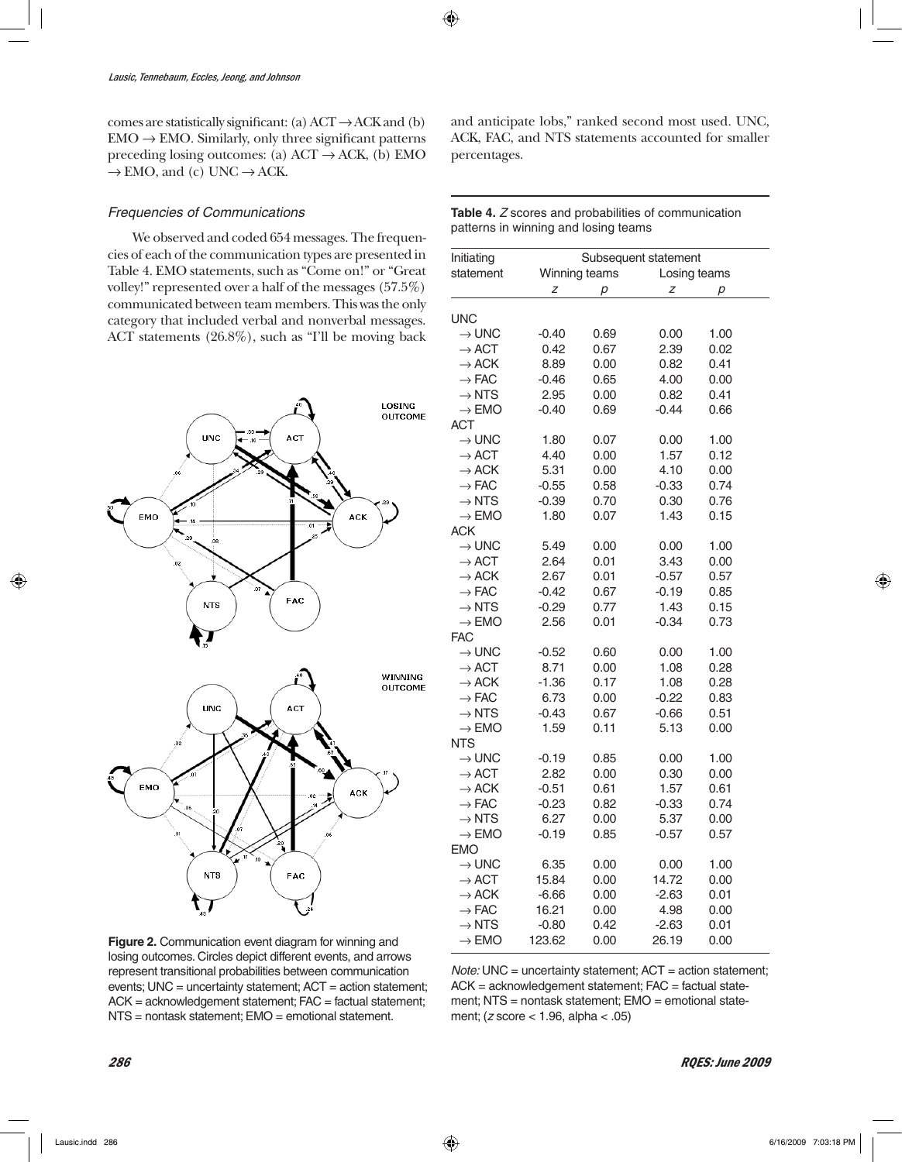comes are statistically significant: (a)  $ACT \rightarrow ACK$  and (b)  $EMO \rightarrow EMO$ . Similarly, only three significant patterns preceding losing outcomes: (a)  $ACT \rightarrow ACK$ , (b)  $EMO$  $\rightarrow$  EMO, and (c) UNC  $\rightarrow$  ACK.

## *Frequencies of Communications*

We observed and coded 654 messages. The frequencies of each of the communication types are presented in Table 4. EMO statements, such as "Come on!" or "Great volley!" represented over a half of the messages (57.5%) communicated between team members. This was the only category that included verbal and nonverbal messages.



| <b>Table 4.</b> Z scores and probabilities of communication |  |
|-------------------------------------------------------------|--|
| patterns in winning and losing teams                        |  |

*z p z p*

Initiating Subsequent statement statement Winning teams Losing teams

⊕

| communicated between team members. This was the only<br>category that included verbal and nonverbal messages.<br>ACT statements (26.8%), such as "I'll be moving back |  |
|-----------------------------------------------------------------------------------------------------------------------------------------------------------------------|--|
| $\overline{40}$<br>LOSING<br>OUTCOME<br><b>ACT</b><br>UNC<br>10.                                                                                                      |  |
| .06<br>.29<br>EMO<br>ACK<br>.01<br>.25<br>.08<br>.02<br>.07<br>FAC<br><b>NTS</b>                                                                                      |  |
| 40<br>WINNING<br>OUTCOME<br><b>UNC</b><br>ACT                                                                                                                         |  |
| 3Ŕ<br>.02<br>EMO<br>ACK<br>.02<br>5<br>.06<br>.20<br>.07<br>01<br>.06<br>20                                                                                           |  |
| .10<br><b>NTS</b><br>FAC<br>.24<br>43                                                                                                                                 |  |

| <b>UNC</b>                             |                  |              |                 |              |
|----------------------------------------|------------------|--------------|-----------------|--------------|
| $\rightarrow$ UNC                      | $-0.40$          | 0.69         | 0.00            | 1.00         |
| $\rightarrow$ ACT                      | 0.42             | 0.67         | 2.39            | 0.02         |
| $\rightarrow$ ACK                      | 8.89             | 0.00         | 0.82            | 0.41         |
| $\rightarrow$ FAC                      | $-0.46$          | 0.65         | 4.00            | 0.00         |
| $\rightarrow$ NTS                      | 2.95             | 0.00         | 0.82            | 0.41         |
| $\rightarrow$ EMO                      | $-0.40$          | 0.69         | $-0.44$         | 0.66         |
| <b>ACT</b>                             |                  |              |                 |              |
| $\rightarrow$ UNC                      | 1.80             | 0.07         | 0.00            | 1.00         |
| $\rightarrow$ ACT                      | 4.40             | 0.00         | 1.57            | 0.12         |
| $\rightarrow$ ACK                      | 5.31             | 0.00         | 4.10            | 0.00         |
| $\rightarrow$ FAC                      | $-0.55$          | 0.58         | $-0.33$         | 0.74         |
| $\rightarrow$ NTS                      | $-0.39$          | 0.70         | 0.30            | 0.76         |
| $\rightarrow$ EMO                      | 1.80             | 0.07         | 1.43            | 0.15         |
| <b>ACK</b>                             |                  |              |                 |              |
| $\rightarrow$ UNC                      | 5.49             | 0.00         | 0.00            | 1.00         |
| $\rightarrow$ ACT                      | 2.64             | 0.01         | 3.43            | 0.00         |
| $\rightarrow$ ACK                      | 2.67             | 0.01         | $-0.57$         | 0.57         |
| $\rightarrow$ FAC                      | $-0.42$          | 0.67         | $-0.19$         | 0.85         |
| $\rightarrow$ NTS                      | $-0.29$          | 0.77         | 1.43            | 0.15         |
| $\rightarrow$ EMO                      | 2.56             | 0.01         | $-0.34$         | 0.73         |
| FAC                                    |                  |              |                 |              |
| $\rightarrow$ UNC                      | $-0.52$          | 0.60         | 0.00            | 1.00         |
| $\rightarrow$ ACT                      | 8.71             | 0.00         | 1.08            | 0.28         |
| $\rightarrow$ ACK                      | $-1.36$          | 0.17         | 1.08            | 0.28         |
| $\rightarrow$ FAC                      | 6.73             | 0.00         | $-0.22$         | 0.83         |
| $\rightarrow$ NTS                      | $-0.43$          | 0.67         | $-0.66$         | 0.51         |
| $\rightarrow$ EMO                      | 1.59             | 0.11         | 5.13            | 0.00         |
| <b>NTS</b>                             |                  |              |                 |              |
| $\rightarrow$ UNC                      | $-0.19$          | 0.85         | 0.00            | 1.00         |
| $\rightarrow$ ACT                      | 2.82             | 0.00         | 0.30            | 0.00         |
| $\rightarrow$ ACK                      | $-0.51$          | 0.61         | 1.57            | 0.61         |
| $\rightarrow$ FAC                      | $-0.23$          | 0.82         | $-0.33$         | 0.74         |
| $\rightarrow$ NTS                      | 6.27             | 0.00         | 5.37            | 0.00         |
| $\rightarrow$ EMO                      | $-0.19$          | 0.85         | $-0.57$         | 0.57         |
| <b>EMO</b>                             |                  |              |                 |              |
| $\rightarrow$ UNC                      | 6.35             | 0.00         | 0.00            | 1.00         |
| $\rightarrow$ ACT                      | 15.84            | 0.00         | 14.72           | 0.00         |
| $\rightarrow$ ACK<br>$\rightarrow$ FAC | $-6.66$<br>16.21 | 0.00<br>0.00 | $-2.63$         | 0.01<br>0.00 |
| $\rightarrow$ NTS                      | $-0.80$          | 0.42         | 4.98<br>$-2.63$ | 0.01         |
| $\rightarrow$ EMO                      | 123.62           | 0.00         | 26.19           | 0.00         |
|                                        |                  |              |                 |              |

**Figure 2.** Communication event diagram for winning and losing outcomes. Circles depict different events, and arrows represent transitional probabilities between communication events; UNC = uncertainty statement; ACT = action statement; ACK = acknowledgement statement; FAC = factual statement; NTS = nontask statement; EMO = emotional statement.

*Note:* UNC = uncertainty statement; ACT = action statement; ACK = acknowledgement statement; FAC = factual statement; NTS = nontask statement; EMO = emotional statement; (*z* score < 1.96, alpha < .05)

# 286 RQES: June 2009

⊕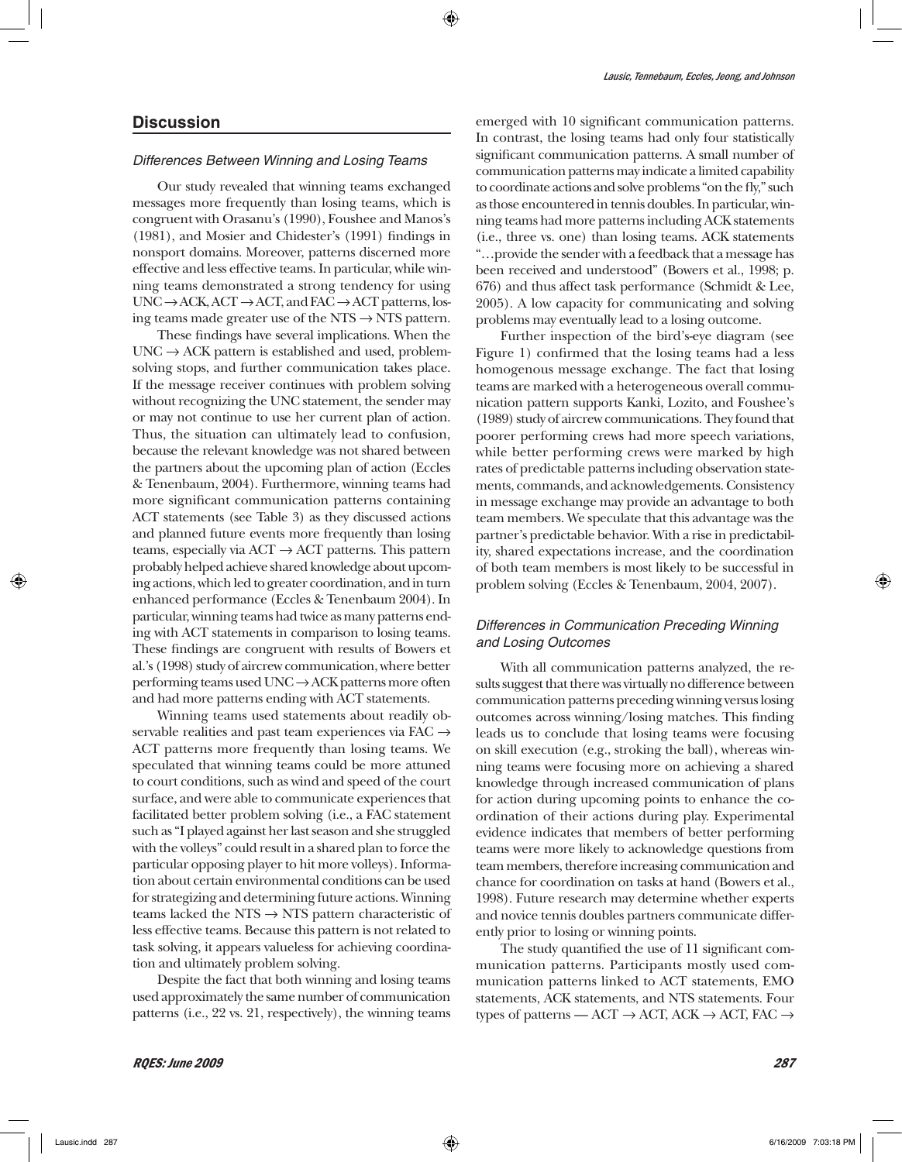# ⊕

# **Discussion**

### *Differences Between Winning and Losing Teams*

Our study revealed that winning teams exchanged messages more frequently than losing teams, which is congruent with Orasanu's (1990), Foushee and Manos's (1981), and Mosier and Chidester's (1991) findings in nonsport domains. Moreover, patterns discerned more effective and less effective teams. In particular, while winning teams demonstrated a strong tendency for using  $UNC \rightarrow ACK, ACT \rightarrow ACT, and FAC \rightarrow ACT, pattern, los$ ing teams made greater use of the NTS  $\rightarrow$  NTS pattern.

These findings have several implications. When the  $UNC \rightarrow ACK$  pattern is established and used, problemsolving stops, and further communication takes place. If the message receiver continues with problem solving without recognizing the UNC statement, the sender may or may not continue to use her current plan of action. Thus, the situation can ultimately lead to confusion, because the relevant knowledge was not shared between the partners about the upcoming plan of action (Eccles & Tenenbaum, 2004). Furthermore, winning teams had more significant communication patterns containing ACT statements (see Table 3) as they discussed actions and planned future events more frequently than losing teams, especially via  $ACT \rightarrow ACT$  patterns. This pattern probably helped achieve shared knowledge about upcoming actions, which led to greater coordination, and in turn enhanced performance (Eccles & Tenenbaum 2004). In particular, winning teams had twice as many patterns ending with ACT statements in comparison to losing teams. These findings are congruent with results of Bowers et al.'s (1998) study of aircrew communication, where better performing teams used UNC → ACK patterns more often and had more patterns ending with ACT statements.

Winning teams used statements about readily observable realities and past team experiences via FAC → ACT patterns more frequently than losing teams. We speculated that winning teams could be more attuned to court conditions, such as wind and speed of the court surface, and were able to communicate experiences that facilitated better problem solving (i.e., a FAC statement such as "I played against her last season and she struggled with the volleys" could result in a shared plan to force the particular opposing player to hit more volleys). Information about certain environmental conditions can be used for strategizing and determining future actions. Winning teams lacked the NTS  $\rightarrow$  NTS pattern characteristic of less effective teams. Because this pattern is not related to task solving, it appears valueless for achieving coordination and ultimately problem solving.

Despite the fact that both winning and losing teams used approximately the same number of communication patterns (i.e., 22 vs. 21, respectively), the winning teams

emerged with 10 significant communication patterns. In contrast, the losing teams had only four statistically significant communication patterns. A small number of communication patterns may indicate a limited capability to coordinate actions and solve problems "on the fly," such as those encountered in tennis doubles. In particular, winning teams had more patterns including ACK statements (i.e., three vs. one) than losing teams. ACK statements "…provide the sender with a feedback that a message has been received and understood" (Bowers et al., 1998; p. 676) and thus affect task performance (Schmidt & Lee, 2005). A low capacity for communicating and solving problems may eventually lead to a losing outcome.

Further inspection of the bird's-eye diagram (see Figure 1) confirmed that the losing teams had a less homogenous message exchange. The fact that losing teams are marked with a heterogeneous overall communication pattern supports Kanki, Lozito, and Foushee's (1989) study of aircrew communications. They found that poorer performing crews had more speech variations, while better performing crews were marked by high rates of predictable patterns including observation statements, commands, and acknowledgements. Consistency in message exchange may provide an advantage to both team members. We speculate that this advantage was the partner's predictable behavior. With a rise in predictability, shared expectations increase, and the coordination of both team members is most likely to be successful in problem solving (Eccles & Tenenbaum, 2004, 2007).

# *Differences in Communication Preceding Winning and Losing Outcomes*

With all communication patterns analyzed, the results suggest that there was virtually no difference between communication patterns preceding winning versus losing outcomes across winning/losing matches. This finding leads us to conclude that losing teams were focusing on skill execution (e.g., stroking the ball), whereas winning teams were focusing more on achieving a shared knowledge through increased communication of plans for action during upcoming points to enhance the coordination of their actions during play. Experimental evidence indicates that members of better performing teams were more likely to acknowledge questions from team members, therefore increasing communication and chance for coordination on tasks at hand (Bowers et al., 1998). Future research may determine whether experts and novice tennis doubles partners communicate differently prior to losing or winning points.

The study quantified the use of 11 significant communication patterns. Participants mostly used communication patterns linked to ACT statements, EMO statements, ACK statements, and NTS statements. Four types of patterns —  $ACT \rightarrow ACT$ , ACK  $\rightarrow$  ACT, FAC  $\rightarrow$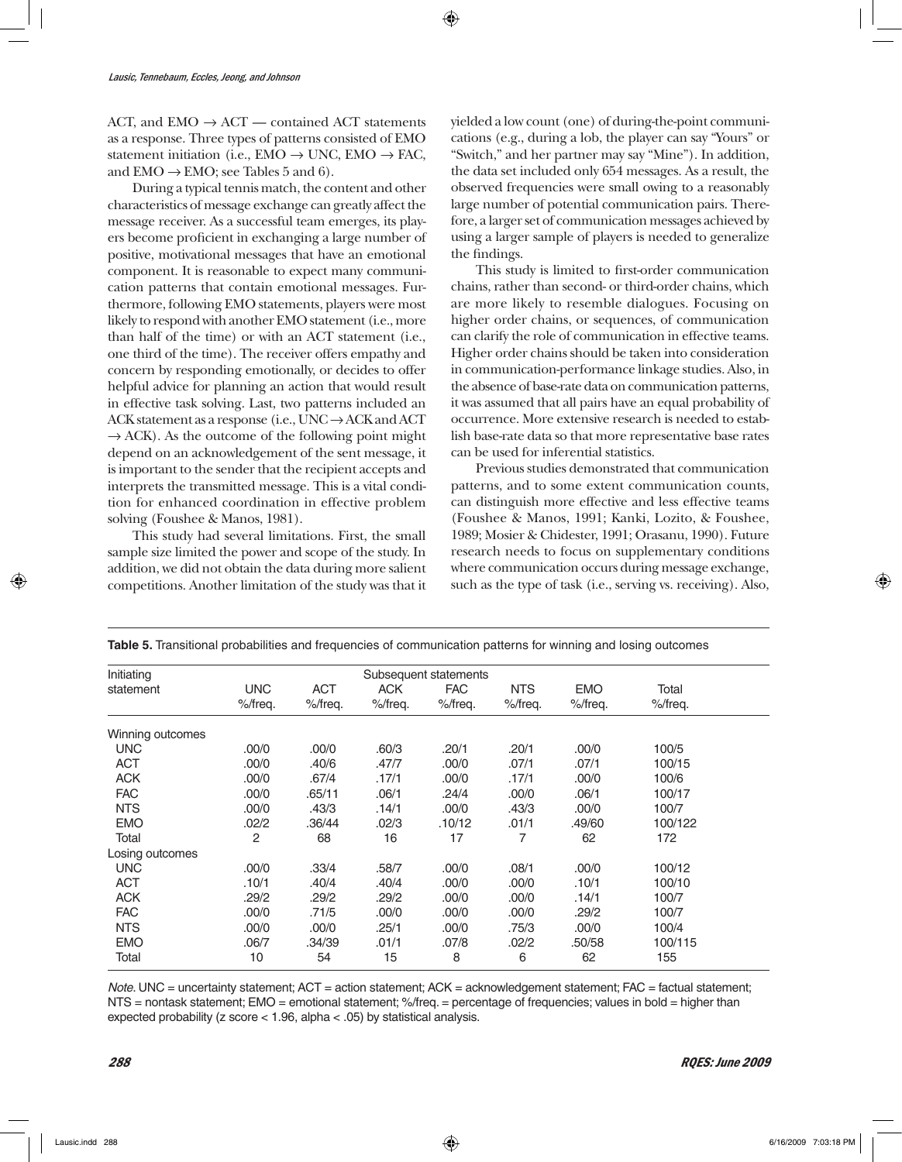ACT, and  $EMO \rightarrow ACT$  — contained ACT statements as a response. Three types of patterns consisted of EMO statement initiation (i.e.,  $EMO \rightarrow UNC$ ,  $EMO \rightarrow FAC$ , and  $EMO \rightarrow EMO$ ; see Tables 5 and 6).

During a typical tennis match, the content and other characteristics of message exchange can greatly affect the message receiver. As a successful team emerges, its players become proficient in exchanging a large number of positive, motivational messages that have an emotional component. It is reasonable to expect many communication patterns that contain emotional messages. Furthermore, following EMO statements, players were most likely to respond with another EMO statement (i.e., more than half of the time) or with an ACT statement (i.e., one third of the time). The receiver offers empathy and concern by responding emotionally, or decides to offer helpful advice for planning an action that would result in effective task solving. Last, two patterns included an ACK statement as a response (i.e., UNC → ACK and ACT  $\rightarrow$  ACK). As the outcome of the following point might depend on an acknowledgement of the sent message, it is important to the sender that the recipient accepts and interprets the transmitted message. This is a vital condition for enhanced coordination in effective problem solving (Foushee & Manos, 1981).

This study had several limitations. First, the small sample size limited the power and scope of the study. In addition, we did not obtain the data during more salient competitions. Another limitation of the study was that it yielded a low count (one) of during-the-point communications (e.g., during a lob, the player can say "Yours" or "Switch," and her partner may say "Mine"). In addition, the data set included only 654 messages. As a result, the observed frequencies were small owing to a reasonably large number of potential communication pairs. Therefore, a larger set of communication messages achieved by using a larger sample of players is needed to generalize the findings.

This study is limited to first-order communication chains, rather than second- or third-order chains, which are more likely to resemble dialogues. Focusing on higher order chains, or sequences, of communication can clarify the role of communication in effective teams. Higher order chains should be taken into consideration in communication-performance linkage studies. Also, in the absence of base-rate data on communication patterns, it was assumed that all pairs have an equal probability of occurrence. More extensive research is needed to establish base-rate data so that more representative base rates can be used for inferential statistics.

Previous studies demonstrated that communication patterns, and to some extent communication counts, can distinguish more effective and less effective teams (Foushee & Manos, 1991; Kanki, Lozito, & Foushee, 1989; Mosier & Chidester, 1991; Orasanu, 1990). Future research needs to focus on supplementary conditions where communication occurs during message exchange, such as the type of task (i.e., serving vs. receiving). Also,

| Initiating       |                       |                       |                       | Subsequent statements   |                       |                       |                  |  |
|------------------|-----------------------|-----------------------|-----------------------|-------------------------|-----------------------|-----------------------|------------------|--|
| statement        | <b>UNC</b><br>%/freq. | <b>ACT</b><br>%/freq. | <b>ACK</b><br>%/freq. | <b>FAC</b><br>$%$ freq. | <b>NTS</b><br>%/freq. | <b>EMO</b><br>%/freq. | Total<br>%/freq. |  |
| Winning outcomes |                       |                       |                       |                         |                       |                       |                  |  |
| <b>UNC</b>       | .00/0.                | .00/0.                | .60/3                 | .20/1                   | .20/1                 | .00/0.                | 100/5            |  |
| <b>ACT</b>       | .00/0                 | .40/6                 | .47/7                 | .00/0                   | .07/1                 | .07/1                 | 100/15           |  |
| <b>ACK</b>       | .00/0                 | .67/4                 | .17/1                 | .00/0                   | .17/1                 | .00/0.                | 100/6            |  |
| <b>FAC</b>       | .00/0                 | .65/11                | .06/1                 | .24/4                   | .00/0                 | .06/1                 | 100/17           |  |
| <b>NTS</b>       | .00/0                 | .43/3.                | .14/1                 | .00/0.                  | .43/3                 | .00/0.                | 100/7            |  |
| <b>EMO</b>       | .02/2                 | .36/44                | .02/3                 | .10/12                  | .01/1                 | .49/60                | 100/122          |  |
| Total            | 2                     | 68                    | 16                    | 17                      | 7                     | 62                    | 172              |  |
| Losing outcomes  |                       |                       |                       |                         |                       |                       |                  |  |
| <b>UNC</b>       | .00/0                 | .33/4                 | .58/7                 | .00/0                   | .08/1                 | .00/0.                | 100/12           |  |
| <b>ACT</b>       | .10/1                 | .40/4                 | .40/4                 | .00/0                   | .00/0                 | .10/1                 | 100/10           |  |
| <b>ACK</b>       | .29/2                 | .29/2                 | .29/2                 | .00/0                   | .00/0                 | .14/1                 | 100/7            |  |
| <b>FAC</b>       | .00/0.                | .71/5                 | .00/0.                | .00/0                   | .00/0                 | .29/2                 | 100/7            |  |
| <b>NTS</b>       | .00/0                 | .00/0                 | .25/1                 | .00/0.                  | .75/3                 | .00/0.                | 100/4            |  |
| <b>EMO</b>       | .06/7                 | .34/39                | .01/1                 | .07/8                   | .02/2                 | .50/58                | 100/115          |  |
| Total            | 10                    | 54                    | 15                    | 8                       | 6                     | 62                    | 155              |  |

**Table 5.** Transitional probabilities and frequencies of communication patterns for winning and losing outcomes

⊕

*Note*. UNC = uncertainty statement; ACT = action statement; ACK = acknowledgement statement; FAC = factual statement; NTS = nontask statement; EMO = emotional statement; %/freq. = percentage of frequencies; values in bold = higher than expected probability (z score < 1.96, alpha < .05) by statistical analysis.

288 RQES: June 2009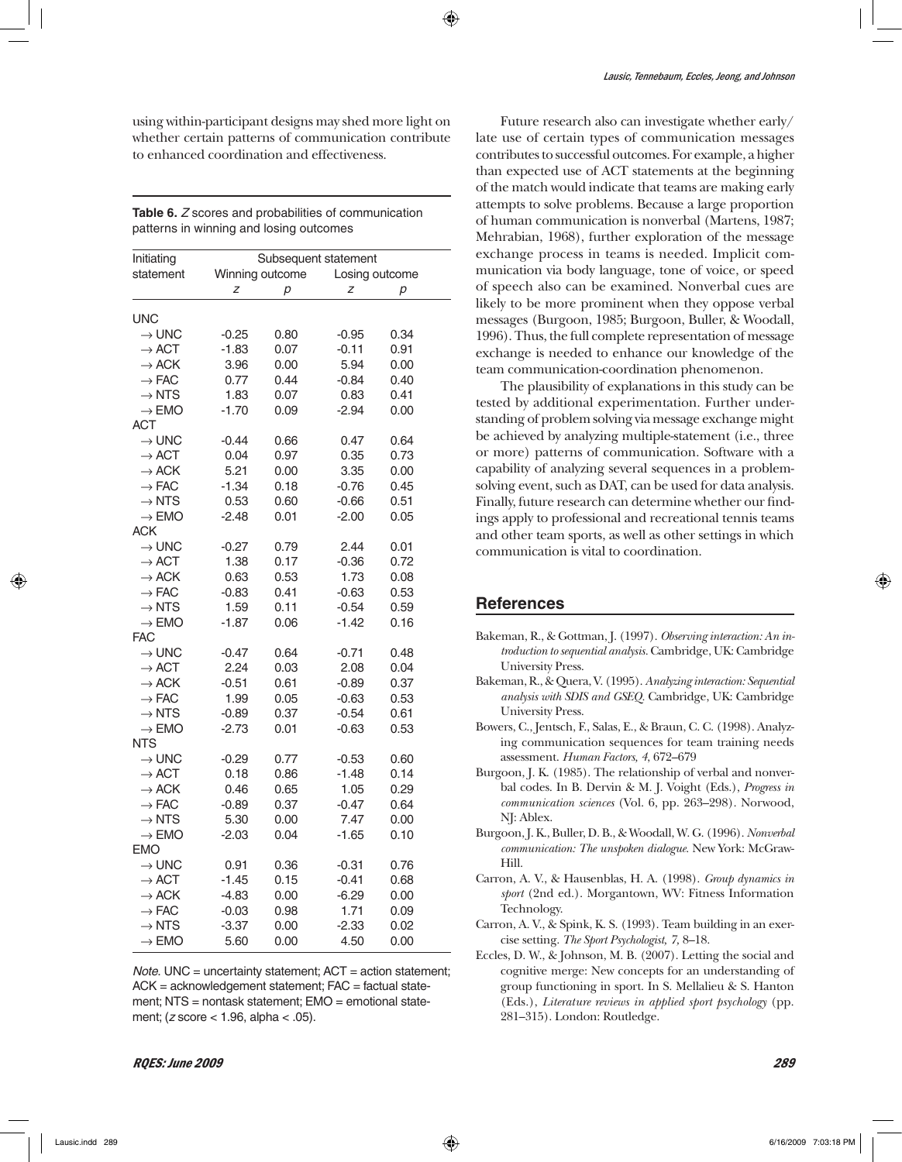using within-participant designs may shed more light on whether certain patterns of communication contribute to enhanced coordination and effectiveness.

**Table 6.** *Z* scores and probabilities of communication patterns in winning and losing outcomes

| Initiating        | Subsequent statement |                 |         |                |  |  |
|-------------------|----------------------|-----------------|---------|----------------|--|--|
| statement         |                      | Winning outcome |         | Losing outcome |  |  |
|                   | Z                    | р               | z       | р              |  |  |
| <b>UNC</b>        |                      |                 |         |                |  |  |
| $\rightarrow$ UNC | $-0.25$              | 0.80            | $-0.95$ | 0.34           |  |  |
| $\rightarrow$ ACT | $-1.83$              | 0.07            | $-0.11$ | 0.91           |  |  |
| $\rightarrow$ ACK | 3.96                 |                 | 5.94    |                |  |  |
|                   |                      | 0.00            |         | 0.00           |  |  |
| $\rightarrow$ FAC | 0.77                 | 0.44            | $-0.84$ | 0.40           |  |  |
| $\rightarrow$ NTS | 1.83                 | 0.07            | 0.83    | 0.41           |  |  |
| $\rightarrow$ EMO | $-1.70$              | 0.09            | $-2.94$ | 0.00           |  |  |
| ACT               |                      |                 |         |                |  |  |
| $\rightarrow$ UNC | $-0.44$              | 0.66            | 0.47    | 0.64           |  |  |
| $\rightarrow$ ACT | 0.04                 | 0.97            | 0.35    | 0.73           |  |  |
| $\rightarrow$ ACK | 5.21                 | 0.00            | 3.35    | 0.00           |  |  |
| $\rightarrow$ FAC | $-1.34$              | 0.18            | $-0.76$ | 0.45           |  |  |
| $\rightarrow$ NTS | 0.53                 | 0.60            | $-0.66$ | 0.51           |  |  |
| $\rightarrow$ EMO | $-2.48$              | 0.01            | $-2.00$ | 0.05           |  |  |
| <b>ACK</b>        |                      |                 |         |                |  |  |
| $\rightarrow$ UNC | $-0.27$              | 0.79            | 2.44    | 0.01           |  |  |
| $\rightarrow$ ACT | 1.38                 | 0.17            | $-0.36$ | 0.72           |  |  |
| $\rightarrow$ ACK | 0.63                 | 0.53            | 1.73    | 0.08           |  |  |
| $\rightarrow$ FAC | $-0.83$              | 0.41            | $-0.63$ | 0.53           |  |  |
| $\rightarrow$ NTS | 1.59                 | 0.11            | $-0.54$ | 0.59           |  |  |
| $\rightarrow$ EMO | $-1.87$              | 0.06            | $-1.42$ | 0.16           |  |  |
| <b>FAC</b>        |                      |                 |         |                |  |  |
| $\rightarrow$ UNC | $-0.47$              | 0.64            | $-0.71$ | 0.48           |  |  |
| $\rightarrow$ ACT | 2.24                 | 0.03            | 2.08    | 0.04           |  |  |
| $\rightarrow$ ACK | $-0.51$              | 0.61            | $-0.89$ | 0.37           |  |  |
| $\rightarrow$ FAC | 1.99                 | 0.05            | $-0.63$ | 0.53           |  |  |
| $\rightarrow$ NTS | $-0.89$              | 0.37            | $-0.54$ | 0.61           |  |  |
| $\rightarrow$ EMO | $-2.73$              | 0.01            | $-0.63$ | 0.53           |  |  |
| <b>NTS</b>        |                      |                 |         |                |  |  |
| $\rightarrow$ UNC | $-0.29$              | 0.77            | $-0.53$ | 0.60           |  |  |
| $\rightarrow$ ACT | 0.18                 | 0.86            | $-1.48$ | 0.14           |  |  |
| $\rightarrow$ ACK | 0.46                 | 0.65            | 1.05    | 0.29           |  |  |
| $\rightarrow$ FAC | $-0.89$              | 0.37            | $-0.47$ | 0.64           |  |  |
| $\rightarrow$ NTS | 5.30                 | 0.00            | 7.47    | 0.00           |  |  |
| $\rightarrow$ EMO | $-2.03$              | 0.04            | $-1.65$ | 0.10           |  |  |
| <b>EMO</b>        |                      |                 |         |                |  |  |
| $\rightarrow$ UNC | 0.91                 | 0.36            | $-0.31$ | 0.76           |  |  |
|                   |                      |                 |         |                |  |  |
| $\rightarrow$ ACT | -1.45                | 0.15            | $-0.41$ | 0.68           |  |  |
| $\rightarrow$ ACK | $-4.83$              | 0.00            | $-6.29$ | 0.00           |  |  |
| $\rightarrow$ FAC | $-0.03$              | 0.98            | 1.71    | 0.09           |  |  |
| $\rightarrow$ NTS | $-3.37$              | 0.00            | $-2.33$ | 0.02           |  |  |
| $\rightarrow$ EMO | 5.60                 | 0.00            | 4.50    | 0.00           |  |  |

*Note*. UNC = uncertainty statement; ACT = action statement;  $ACK =$  acknowledgement statement;  $FAC =$  factual statement; NTS = nontask statement; EMO = emotional statement; (*z* score < 1.96, alpha < .05).

Future research also can investigate whether early/ late use of certain types of communication messages contributes to successful outcomes. For example, a higher than expected use of ACT statements at the beginning of the match would indicate that teams are making early attempts to solve problems. Because a large proportion of human communication is nonverbal (Martens, 1987; Mehrabian, 1968), further exploration of the message exchange process in teams is needed. Implicit communication via body language, tone of voice, or speed of speech also can be examined. Nonverbal cues are likely to be more prominent when they oppose verbal messages (Burgoon, 1985; Burgoon, Buller, & Woodall, 1996). Thus, the full complete representation of message exchange is needed to enhance our knowledge of the team communication-coordination phenomenon.

The plausibility of explanations in this study can be tested by additional experimentation. Further understanding of problem solving via message exchange might be achieved by analyzing multiple-statement (i.e., three or more) patterns of communication. Software with a capability of analyzing several sequences in a problemsolving event, such as DAT, can be used for data analysis. Finally, future research can determine whether our findings apply to professional and recreational tennis teams and other team sports, as well as other settings in which communication is vital to coordination.

# **References**

- Bakeman, R., & Gottman, J. (1997). *Observing interaction: An introduction to sequential analysis.* Cambridge, UK: Cambridge University Press.
- Bakeman, R., & Quera, V. (1995). *Analyzing interaction: Sequential analysis with SDIS and GSEQ.* Cambridge, UK: Cambridge University Press.
- Bowers, C., Jentsch, F., Salas, E., & Braun, C. C. (1998). Analyzing communication sequences for team training needs assessment. *Human Factors, 4*, 672–679
- Burgoon, J. K. (1985). The relationship of verbal and nonverbal codes. In B. Dervin & M. J. Voight (Eds.), *Progress in communication sciences* (Vol. 6, pp. 263–298). Norwood, NJ: Ablex.
- Burgoon, J. K., Buller, D. B., & Woodall, W. G. (1996). *Nonverbal communication: The unspoken dialogue.* New York: McGraw-Hill.
- Carron, A. V., & Hausenblas, H. A. (1998). *Group dynamics in sport* (2nd ed.). Morgantown, WV: Fitness Information Technology.
- Carron, A. V., & Spink, K. S. (1993). Team building in an exercise setting. *The Sport Psychologist, 7,* 8–18.
- Eccles, D. W., & Johnson, M. B. (2007). Letting the social and cognitive merge: New concepts for an understanding of group functioning in sport. In S. Mellalieu & S. Hanton (Eds.), *Literature reviews in applied sport psychology* (pp. 281–315). London: Routledge.

RQES: June 2009 289

♠